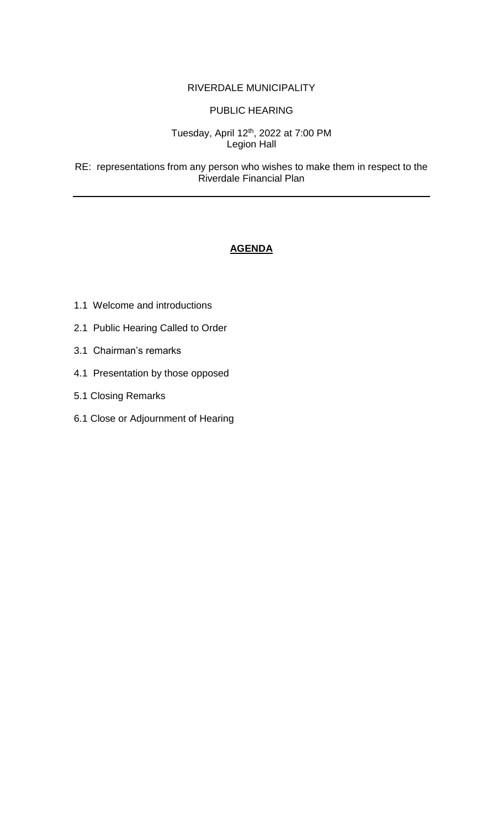## RIVERDALE MUNICIPALITY

## PUBLIC HEARING

## Tuesday, April 12<sup>th</sup>, 2022 at 7:00 PM Legion Hall

RE: representations from any person who wishes to make them in respect to the Riverdale Financial Plan

## **AGENDA**

- 1.1 Welcome and introductions
- 2.1 Public Hearing Called to Order
- 3.1 Chairman's remarks
- 4.1 Presentation by those opposed
- 5.1 Closing Remarks
- 6.1 Close or Adjournment of Hearing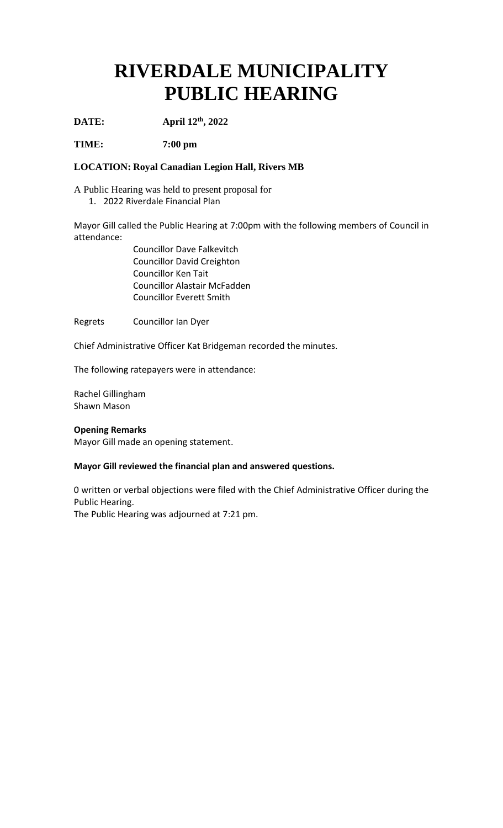# **RIVERDALE MUNICIPALITY PUBLIC HEARING**

**DATE: April 12 th, 2022**

**TIME: 7:00 pm**

#### **LOCATION: Royal Canadian Legion Hall, Rivers MB**

A Public Hearing was held to present proposal for 1. 2022 Riverdale Financial Plan

Mayor Gill called the Public Hearing at 7:00pm with the following members of Council in attendance:

> Councillor Dave Falkevitch Councillor David Creighton Councillor Ken Tait Councillor Alastair McFadden Councillor Everett Smith

Regrets Councillor Ian Dyer

Chief Administrative Officer Kat Bridgeman recorded the minutes.

The following ratepayers were in attendance:

Rachel Gillingham Shawn Mason

#### **Opening Remarks**

Mayor Gill made an opening statement.

#### **Mayor Gill reviewed the financial plan and answered questions.**

0 written or verbal objections were filed with the Chief Administrative Officer during the Public Hearing.

The Public Hearing was adjourned at 7:21 pm.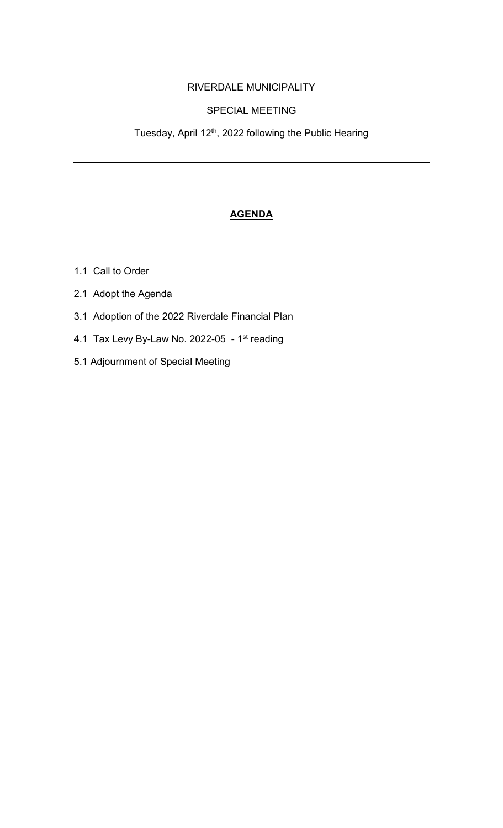# RIVERDALE MUNICIPALITY

# SPECIAL MEETING

Tuesday, April 12<sup>th</sup>, 2022 following the Public Hearing

# **AGENDA**

- 1.1 Call to Order
- 2.1 Adopt the Agenda
- 3.1 Adoption of the 2022 Riverdale Financial Plan
- 4.1 Tax Levy By-Law No. 2022-05 1st reading
- 5.1 Adjournment of Special Meeting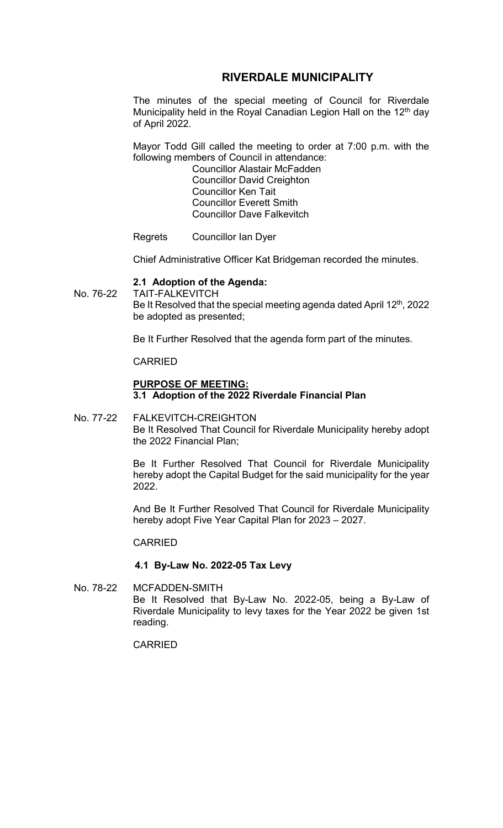# **RIVERDALE MUNICIPALITY**

The minutes of the special meeting of Council for Riverdale Municipality held in the Royal Canadian Legion Hall on the 12<sup>th</sup> day of April 2022.

Mayor Todd Gill called the meeting to order at 7:00 p.m. with the following members of Council in attendance:

Councillor Alastair McFadden Councillor David Creighton Councillor Ken Tait Councillor Everett Smith Councillor Dave Falkevitch

Regrets Councillor Ian Dyer

Chief Administrative Officer Kat Bridgeman recorded the minutes.

#### **2.1 Adoption of the Agenda:**

No. 76-22 TAIT-FALKEVITCH Be It Resolved that the special meeting agenda dated April 12<sup>th</sup>, 2022 be adopted as presented;

Be It Further Resolved that the agenda form part of the minutes.

CARRIED

### **PURPOSE OF MEETING: 3.1 Adoption of the 2022 Riverdale Financial Plan**

No. 77-22 FALKEVITCH-CREIGHTON Be It Resolved That Council for Riverdale Municipality hereby adopt the 2022 Financial Plan;

> Be It Further Resolved That Council for Riverdale Municipality hereby adopt the Capital Budget for the said municipality for the year 2022.

> And Be It Further Resolved That Council for Riverdale Municipality hereby adopt Five Year Capital Plan for 2023 – 2027.

#### CARRIED

#### **4.1 By-Law No. 2022-05 Tax Levy**

No. 78-22 MCFADDEN-SMITH Be It Resolved that By-Law No. 2022-05, being a By-Law of Riverdale Municipality to levy taxes for the Year 2022 be given 1st reading.

CARRIED